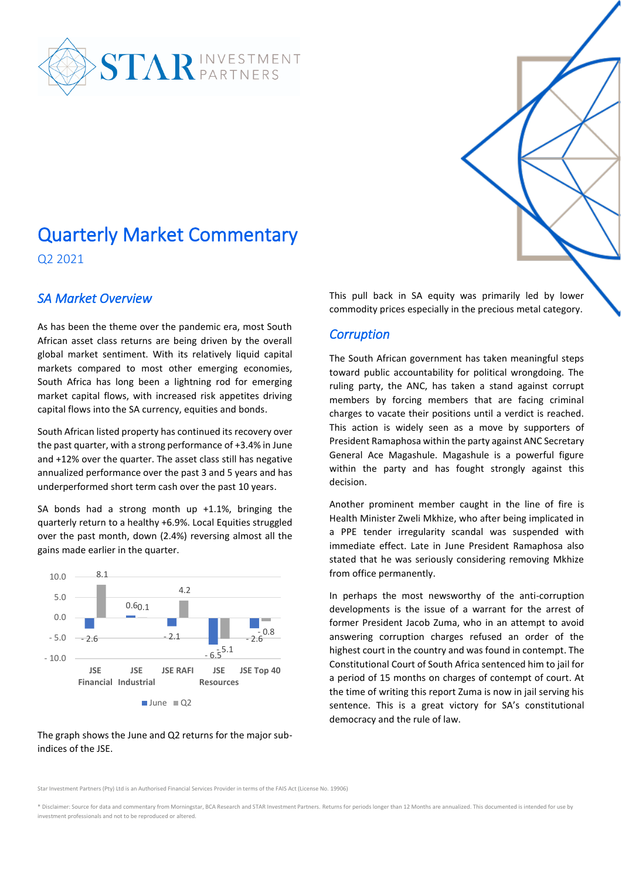

# Quarterly Market Commentary

Q2 2021

#### *SA Market Overview*

As has been the theme over the pandemic era, most South African asset class returns are being driven by the overall global market sentiment. With its relatively liquid capital markets compared to most other emerging economies, South Africa has long been a lightning rod for emerging market capital flows, with increased risk appetites driving capital flows into the SA currency, equities and bonds.

South African listed property has continued its recovery over the past quarter, with a strong performance of +3.4% in June and +12% over the quarter. The asset class still has negative annualized performance over the past 3 and 5 years and has underperformed short term cash over the past 10 years.

SA bonds had a strong month up  $+1.1$ %, bringing the quarterly return to a healthy +6.9%. Local Equities struggled over the past month, down (2.4%) reversing almost all the gains made earlier in the quarter.



The graph shows the June and Q2 returns for the major subindices of the JSE.

This pull back in SA equity was primarily led by lower commodity prices especially in the precious metal category.

#### *Corruption*

The South African government has taken meaningful steps toward public accountability for political wrongdoing. The ruling party, the ANC, has taken a stand against corrupt members by forcing members that are facing criminal charges to vacate their positions until a verdict is reached. This action is widely seen as a move by supporters of President Ramaphosa within the party against ANC Secretary General Ace Magashule. Magashule is a powerful figure within the party and has fought strongly against this decision.

Another prominent member caught in the line of fire is Health Minister Zweli Mkhize, who after being implicated in a PPE tender irregularity scandal was suspended with immediate effect. Late in June President Ramaphosa also stated that he was seriously considering removing Mkhize from office permanently.

In perhaps the most newsworthy of the anti-corruption developments is the issue of a warrant for the arrest of former President Jacob Zuma, who in an attempt to avoid answering corruption charges refused an order of the highest court in the country and was found in contempt. The Constitutional Court of South Africa sentenced him to jail for a period of 15 months on charges of contempt of court. At the time of writing this report Zuma is now in jail serving his sentence. This is a great victory for SA's constitutional democracy and the rule of law.

Star Investment Partners (Pty) Ltd is an Authorised Financial Services Provider in terms of the FAIS Act (License No. 19906)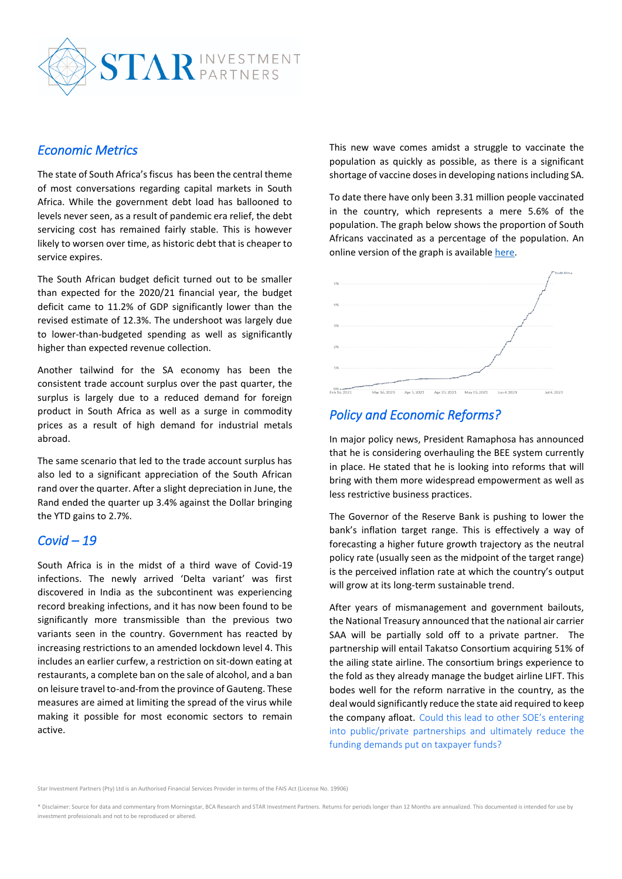

#### *Economic Metrics*

The state of South Africa's fiscus has been the central theme of most conversations regarding capital markets in South Africa. While the government debt load has ballooned to levels never seen, as a result of pandemic era relief, the debt servicing cost has remained fairly stable. This is however likely to worsen over time, as historic debt that is cheaper to service expires.

The South African budget deficit turned out to be smaller than expected for the 2020/21 financial year, the budget deficit came to 11.2% of GDP significantly lower than the revised estimate of 12.3%. The undershoot was largely due to lower-than-budgeted spending as well as significantly higher than expected revenue collection.

Another tailwind for the SA economy has been the consistent trade account surplus over the past quarter, the surplus is largely due to a reduced demand for foreign product in South Africa as well as a surge in commodity prices as a result of high demand for industrial metals abroad.

The same scenario that led to the trade account surplus has also led to a significant appreciation of the South African rand over the quarter. After a slight depreciation in June, the Rand ended the quarter up 3.4% against the Dollar bringing the YTD gains to 2.7%.

#### *Covid – 19*

South Africa is in the midst of a third wave of Covid-19 infections. The newly arrived 'Delta variant' was first discovered in India as the subcontinent was experiencing record breaking infections, and it has now been found to be significantly more transmissible than the previous two variants seen in the country. Government has reacted by increasing restrictions to an amended lockdown level 4. This includes an earlier curfew, a restriction on sit-down eating at restaurants, a complete ban on the sale of alcohol, and a ban on leisure travel to-and-from the province of Gauteng. These measures are aimed at limiting the spread of the virus while making it possible for most economic sectors to remain active.

This new wave comes amidst a struggle to vaccinate the population as quickly as possible, as there is a significant shortage of vaccine doses in developing nations including SA.

To date there have only been 3.31 million people vaccinated in the country, which represents a mere 5.6% of the population. The graph below shows the proportion of South Africans vaccinated as a percentage of the population. An online version of the graph is available [here.](https://ourworldindata.org/explorers/coronavirus-data-explorer?zoomToSelection=true&pickerSort=desc&pickerMetric=total_vaccinations&Interval=Cumulative&Relative+to+Population=true&Align+outbreaks=false&country=~ZAF&Metric=People+vaccinated)



## *Policy and Economic Reforms?*

In major policy news, President Ramaphosa has announced that he is considering overhauling the BEE system currently in place. He stated that he is looking into reforms that will bring with them more widespread empowerment as well as less restrictive business practices.

The Governor of the Reserve Bank is pushing to lower the bank's inflation target range. This is effectively a way of forecasting a higher future growth trajectory as the neutral policy rate (usually seen as the midpoint of the target range) is the perceived inflation rate at which the country's output will grow at its long-term sustainable trend.

After years of mismanagement and government bailouts, the National Treasury announced that the national air carrier SAA will be partially sold off to a private partner. The partnership will entail Takatso Consortium acquiring 51% of the ailing state airline. The consortium brings experience to the fold as they already manage the budget airline LIFT. This bodes well for the reform narrative in the country, as the deal would significantly reduce the state aid required to keep the company afloat.Could this lead to other SOE's entering into public/private partnerships and ultimately reduce the funding demands put on taxpayer funds?

Star Investment Partners (Pty) Ltd is an Authorised Financial Services Provider in terms of the FAIS Act (License No. 19906)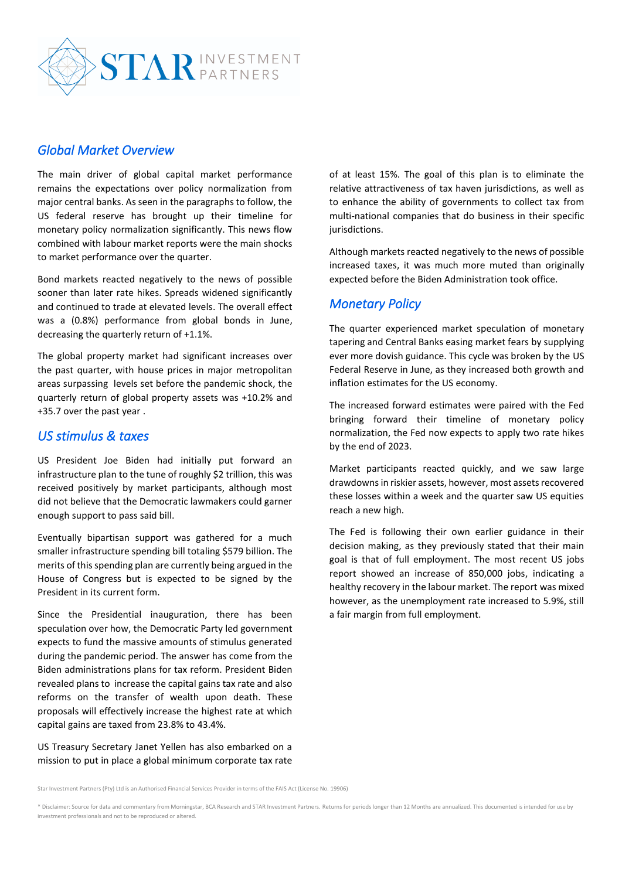

#### *Global Market Overview*

The main driver of global capital market performance remains the expectations over policy normalization from major central banks. As seen in the paragraphs to follow, the US federal reserve has brought up their timeline for monetary policy normalization significantly. This news flow combined with labour market reports were the main shocks to market performance over the quarter.

Bond markets reacted negatively to the news of possible sooner than later rate hikes. Spreads widened significantly and continued to trade at elevated levels. The overall effect was a (0.8%) performance from global bonds in June, decreasing the quarterly return of +1.1%.

The global property market had significant increases over the past quarter, with house prices in major metropolitan areas surpassing levels set before the pandemic shock, the quarterly return of global property assets was +10.2% and +35.7 over the past year .

#### *US stimulus & taxes*

US President Joe Biden had initially put forward an infrastructure plan to the tune of roughly \$2 trillion, this was received positively by market participants, although most did not believe that the Democratic lawmakers could garner enough support to pass said bill.

Eventually bipartisan support was gathered for a much smaller infrastructure spending bill totaling \$579 billion. The merits of this spending plan are currently being argued in the House of Congress but is expected to be signed by the President in its current form.

Since the Presidential inauguration, there has been speculation over how, the Democratic Party led government expects to fund the massive amounts of stimulus generated during the pandemic period. The answer has come from the Biden administrations plans for tax reform. President Biden revealed plans to increase the capital gains tax rate and also reforms on the transfer of wealth upon death. These proposals will effectively increase the highest rate at which capital gains are taxed from 23.8% to 43.4%.

US Treasury Secretary Janet Yellen has also embarked on a mission to put in place a global minimum corporate tax rate

of at least 15%. The goal of this plan is to eliminate the relative attractiveness of tax haven jurisdictions, as well as to enhance the ability of governments to collect tax from multi-national companies that do business in their specific jurisdictions.

Although markets reacted negatively to the news of possible increased taxes, it was much more muted than originally expected before the Biden Administration took office.

#### *Monetary Policy*

The quarter experienced market speculation of monetary tapering and Central Banks easing market fears by supplying ever more dovish guidance. This cycle was broken by the US Federal Reserve in June, as they increased both growth and inflation estimates for the US economy.

The increased forward estimates were paired with the Fed bringing forward their timeline of monetary policy normalization, the Fed now expects to apply two rate hikes by the end of 2023.

Market participants reacted quickly, and we saw large drawdowns in riskier assets, however, most assets recovered these losses within a week and the quarter saw US equities reach a new high.

The Fed is following their own earlier guidance in their decision making, as they previously stated that their main goal is that of full employment. The most recent US jobs report showed an increase of 850,000 jobs, indicating a healthy recovery in the labour market. The report was mixed however, as the unemployment rate increased to 5.9%, still a fair margin from full employment.

Star Investment Partners (Pty) Ltd is an Authorised Financial Services Provider in terms of the FAIS Act (License No. 19906)

<sup>\*</sup> Disclaimer: Source for data and commentary from Morningstar, BCA Research and STAR Investment Partners. Returns for periods longer than 12 Months are annualized. This documented is intended for use by investment professionals and not to be reproduced or altered.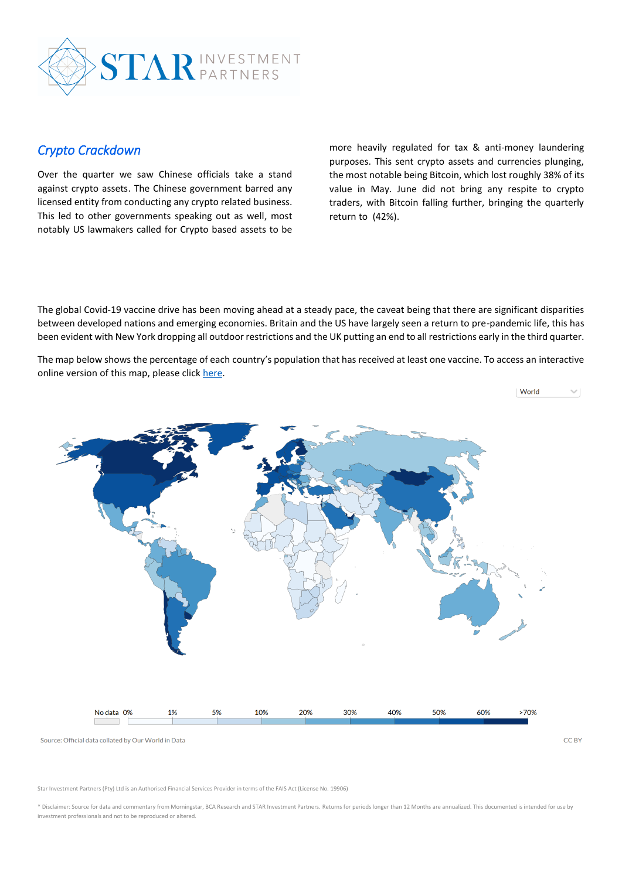

#### *Crypto Crackdown*

Over the quarter we saw Chinese officials take a stand against crypto assets. The Chinese government barred any licensed entity from conducting any crypto related business. This led to other governments speaking out as well, most notably US lawmakers called for Crypto based assets to be more heavily regulated for tax & anti-money laundering purposes. This sent crypto assets and currencies plunging, the most notable being Bitcoin, which lost roughly 38% of its value in May. June did not bring any respite to crypto traders, with Bitcoin falling further, bringing the quarterly return to (42%).

The global Covid-19 vaccine drive has been moving ahead at a steady pace, the caveat being that there are significant disparities between developed nations and emerging economies. Britain and the US have largely seen a return to pre-pandemic life, this has been evident with New York dropping all outdoor restrictions and the UK putting an end to all restrictions early in the third quarter.

The map below shows the percentage of each country's population that has received at least one vaccine. To access an interactive online version of this map, please click [here.](https://ourworldindata.org/explorers/coronavirus-data-explorer?tab=map&zoomToSelection=true&pickerSort=desc&pickerMetric=total_vaccinations&Metric=People+vaccinated&Interval=Cumulative&Relative+to+Population=true&Align+outbreaks=false&country=BRA~CAN~FRA~DEU~IND~ITA~ISR~MEX~GBR~USA~OWID_WRL)



Star Investment Partners (Pty) Ltd is an Authorised Financial Services Provider in terms of the FAIS Act (License No. 19906)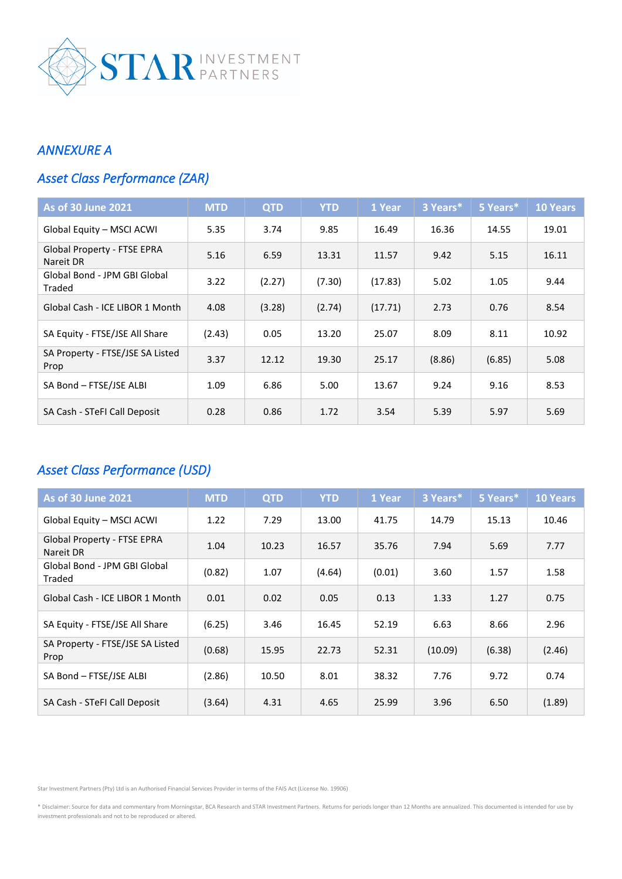

### *ANNEXURE A*

# *Asset Class Performance (ZAR)*

| <b>As of 30 June 2021</b>                | <b>MTD</b> | <b>QTD</b> | <b>YTD</b> | 1 Year  | 3 Years* | 5 Years* | <b>10 Years</b> |
|------------------------------------------|------------|------------|------------|---------|----------|----------|-----------------|
| Global Equity - MSCI ACWI                | 5.35       | 3.74       | 9.85       | 16.49   | 16.36    | 14.55    | 19.01           |
| Global Property - FTSE EPRA<br>Nareit DR | 5.16       | 6.59       | 13.31      | 11.57   | 9.42     | 5.15     | 16.11           |
| Global Bond - JPM GBI Global<br>Traded   | 3.22       | (2.27)     | (7.30)     | (17.83) | 5.02     | 1.05     | 9.44            |
| Global Cash - ICE LIBOR 1 Month          | 4.08       | (3.28)     | (2.74)     | (17.71) | 2.73     | 0.76     | 8.54            |
| SA Equity - FTSE/JSE All Share           | (2.43)     | 0.05       | 13.20      | 25.07   | 8.09     | 8.11     | 10.92           |
| SA Property - FTSE/JSE SA Listed<br>Prop | 3.37       | 12.12      | 19.30      | 25.17   | (8.86)   | (6.85)   | 5.08            |
| SA Bond - FTSE/JSE ALBI                  | 1.09       | 6.86       | 5.00       | 13.67   | 9.24     | 9.16     | 8.53            |
| SA Cash - STeFI Call Deposit             | 0.28       | 0.86       | 1.72       | 3.54    | 5.39     | 5.97     | 5.69            |

# *Asset Class Performance (USD)*

| <b>As of 30 June 2021</b>                | <b>MTD</b> | <b>QTD</b> | <b>YTD</b> | 1 Year         | 3 Years* | 5 Years*     | <b>10 Years</b> |
|------------------------------------------|------------|------------|------------|----------------|----------|--------------|-----------------|
| Global Equity - MSCI ACWI                | 1.22       | 7.29       | 13.00      | 14.79<br>41.75 |          | 15.13        | 10.46           |
| Global Property - FTSE EPRA<br>Nareit DR | 1.04       | 10.23      | 16.57      | 35.76          | 7.94     | 5.69         | 7.77            |
| Global Bond - JPM GBI Global<br>Traded   | (0.82)     | 1.07       | (4.64)     | 3.60<br>(0.01) |          | 1.58<br>1.57 |                 |
| Global Cash - ICE LIBOR 1 Month          | 0.01       | 0.02       | 0.05       | 0.13           | 1.33     | 1.27         | 0.75            |
| SA Equity - FTSE/JSE All Share           | (6.25)     | 3.46       | 16.45      | 52.19          | 6.63     | 8.66         | 2.96            |
| SA Property - FTSE/JSE SA Listed<br>Prop | (0.68)     | 15.95      | 22.73      | 52.31          | (10.09)  | (6.38)       | (2.46)          |
| SA Bond - FTSE/JSE ALBI                  | (2.86)     | 10.50      | 8.01       | 38.32          | 7.76     | 9.72         | 0.74            |
| SA Cash - STeFI Call Deposit             | (3.64)     | 4.31       | 4.65       | 25.99          | 3.96     | 6.50         | (1.89)          |

Star Investment Partners (Pty) Ltd is an Authorised Financial Services Provider in terms of the FAIS Act (License No. 19906)